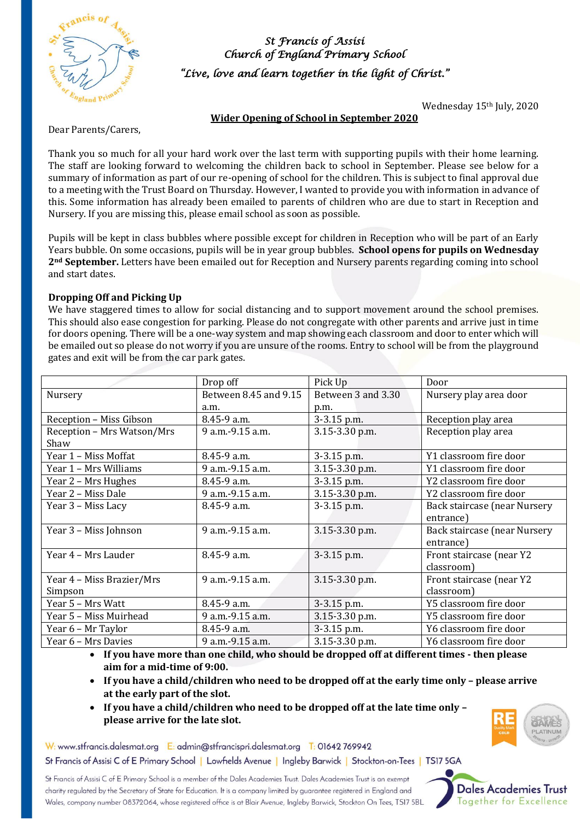

*St Francis of Assisi Church of England Primary School "Live, love and learn together in the light of Christ."* 

Wednesday 15th July, 2020

#### **Wider Opening of School in September 2020**

Dear Parents/Carers,

Thank you so much for all your hard work over the last term with supporting pupils with their home learning. The staff are looking forward to welcoming the children back to school in September. Please see below for a summary of information as part of our re-opening of school for the children. This is subject to final approval due to a meeting with the Trust Board on Thursday. However, I wanted to provide you with information in advance of this. Some information has already been emailed to parents of children who are due to start in Reception and Nursery. If you are missing this, please email school as soon as possible.

Pupils will be kept in class bubbles where possible except for children in Reception who will be part of an Early Years bubble. On some occasions, pupils will be in year group bubbles. **School opens for pupils on Wednesday 2nd September.** Letters have been emailed out for Reception and Nursery parents regarding coming into school and start dates.

#### **Dropping Off and Picking Up**

We have staggered times to allow for social distancing and to support movement around the school premises. This should also ease congestion for parking. Please do not congregate with other parents and arrive just in time for doors opening. There will be a one-way system and map showing each classroom and door to enter which will be emailed out so please do not worry if you are unsure of the rooms. Entry to school will be from the playground gates and exit will be from the car park gates.

|                            | Drop off              | Pick Up            | Door                         |
|----------------------------|-----------------------|--------------------|------------------------------|
| Nursery                    | Between 8.45 and 9.15 | Between 3 and 3.30 | Nursery play area door       |
|                            | a.m.                  | p.m.               |                              |
| Reception - Miss Gibson    | $8.45 - 9 a.m.$       | 3-3.15 p.m.        | Reception play area          |
| Reception - Mrs Watson/Mrs | 9 a.m. - 9.15 a.m.    | 3.15-3.30 p.m.     | Reception play area          |
| Shaw                       |                       |                    |                              |
| Year 1 – Miss Moffat       | $8.45 - 9 a.m.$       | 3-3.15 p.m.        | Y1 classroom fire door       |
| Year 1 - Mrs Williams      | 9 a.m. - 9.15 a.m.    | 3.15-3.30 p.m.     | Y1 classroom fire door       |
| Year 2 – Mrs Hughes        | 8.45-9 a.m.           | 3-3.15 p.m.        | Y2 classroom fire door       |
| Year 2 – Miss Dale         | 9 a.m. - 9.15 a.m.    | 3.15-3.30 p.m.     | Y2 classroom fire door       |
| Year 3 – Miss Lacy         | $8.45 - 9 a.m.$       | 3-3.15 p.m.        | Back staircase (near Nursery |
|                            |                       |                    | entrance)                    |
| Year 3 - Miss Johnson      | 9 a.m. - 9.15 a.m.    | 3.15-3.30 p.m.     | Back staircase (near Nursery |
|                            |                       |                    | entrance)                    |
| Year 4 – Mrs Lauder        | 8.45-9 a.m.           | 3-3.15 p.m.        | Front staircase (near Y2     |
|                            |                       |                    | classroom)                   |
| Year 4 - Miss Brazier/Mrs  | 9 a.m. - 9.15 a.m.    | 3.15-3.30 p.m.     | Front staircase (near Y2     |
| Simpson                    |                       |                    | classroom)                   |
| Year 5 - Mrs Watt          | $8.45 - 9$ a.m.       | 3-3.15 p.m.        | Y5 classroom fire door       |
| Year 5 - Miss Muirhead     | 9 a.m. - 9.15 a.m.    | 3.15-3.30 p.m.     | Y5 classroom fire door       |
| Year 6 - Mr Taylor         | 8.45-9 a.m.           | 3-3.15 p.m.        | Y6 classroom fire door       |
| Year 6 - Mrs Davies        | 9 a.m.-9.15 a.m.      | 3.15-3.30 p.m.     | Y6 classroom fire door       |

• **If you have more than one child, who should be dropped off at different times - then please aim for a mid-time of 9:00.**

- **If you have a child/children who need to be dropped off at the early time only – please arrive at the early part of the slot.**
- **If you have a child/children who need to be dropped off at the late time only – please arrive for the late slot.**



W: www.stfrancis.dalesmat.org E: admin@stfrancispri.dalesmat.org T: 01642 769942

St Francis of Assisi C of E Primary School | Lowfields Avenue | Ingleby Barwick | Stockton-on-Tees | TS17 5GA

St Francis of Assisi C of E Primary School is a member of the Dales Academies Trust. Dales Academies Trust is an exempt charity regulated by the Secretary of State for Education. It is a company limited by guarantee registered in England and Wales, company number 08372064, whose registered office is at Blair Avenue, Ingleby Barwick, Stockton On Tees, TS17 5BL

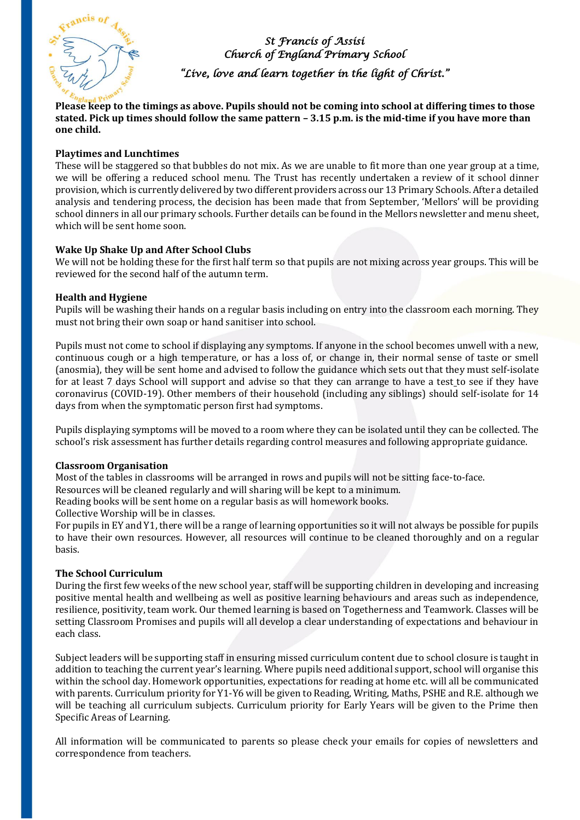

## *St Francis of Assisi Church of England Primary School*

*"Live, love and learn together in the light of Christ."* 

**Please keep to the timings as above. Pupils should not be coming into school at differing times to those stated. Pick up times should follow the same pattern – 3.15 p.m. is the mid-time if you have more than one child.**

#### **Playtimes and Lunchtimes**

These will be staggered so that bubbles do not mix. As we are unable to fit more than one year group at a time, we will be offering a reduced school menu. The Trust has recently undertaken a review of it school dinner provision, which is currently delivered by two different providers across our 13 Primary Schools. After a detailed analysis and tendering process, the decision has been made that from September, 'Mellors' will be providing school dinners in all our primary schools. Further details can be found in the Mellors newsletter and menu sheet, which will be sent home soon.

#### **Wake Up Shake Up and After School Clubs**

We will not be holding these for the first half term so that pupils are not mixing across year groups. This will be reviewed for the second half of the autumn term.

#### **Health and Hygiene**

Pupils will be washing their hands on a regular basis including on entry into the classroom each morning. They must not bring their own soap or hand sanitiser into school.

Pupils must not come to school if displaying any symptoms. If anyone in the school becomes unwell with a new, continuous cough or a high temperature, or has a loss of, or change in, their normal sense of taste or smell (anosmia), they will be sent home and advised to follow the guidance which sets out that they must self-isolate for at least 7 days School will support and advise so that they can [arrange to have a test](https://www.gov.uk/guidance/coronavirus-covid-19-getting-tested) to see if they have coronavirus (COVID-19). Other members of their household (including any siblings) should self-isolate for 14 days from when the symptomatic person first had symptoms.

Pupils displaying symptoms will be moved to a room where they can be isolated until they can be collected. The school's risk assessment has further details regarding control measures and following appropriate guidance.

#### **Classroom Organisation**

Most of the tables in classrooms will be arranged in rows and pupils will not be sitting face-to-face.

Resources will be cleaned regularly and will sharing will be kept to a minimum.

Reading books will be sent home on a regular basis as will homework books.

Collective Worship will be in classes.

For pupils in EY and Y1, there will be a range of learning opportunities so it will not always be possible for pupils to have their own resources. However, all resources will continue to be cleaned thoroughly and on a regular basis.

#### **The School Curriculum**

During the first few weeks of the new school year, staff will be supporting children in developing and increasing positive mental health and wellbeing as well as positive learning behaviours and areas such as independence, resilience, positivity, team work. Our themed learning is based on Togetherness and Teamwork. Classes will be setting Classroom Promises and pupils will all develop a clear understanding of expectations and behaviour in each class.

Subject leaders will be supporting staff in ensuring missed curriculum content due to school closure is taught in addition to teaching the current year's learning. Where pupils need additional support, school will organise this within the school day. Homework opportunities, expectations for reading at home etc. will all be communicated with parents. Curriculum priority for Y1-Y6 will be given to Reading, Writing, Maths, PSHE and R.E. although we will be teaching all curriculum subjects. Curriculum priority for Early Years will be given to the Prime then Specific Areas of Learning.

All information will be communicated to parents so please check your emails for copies of newsletters and correspondence from teachers.